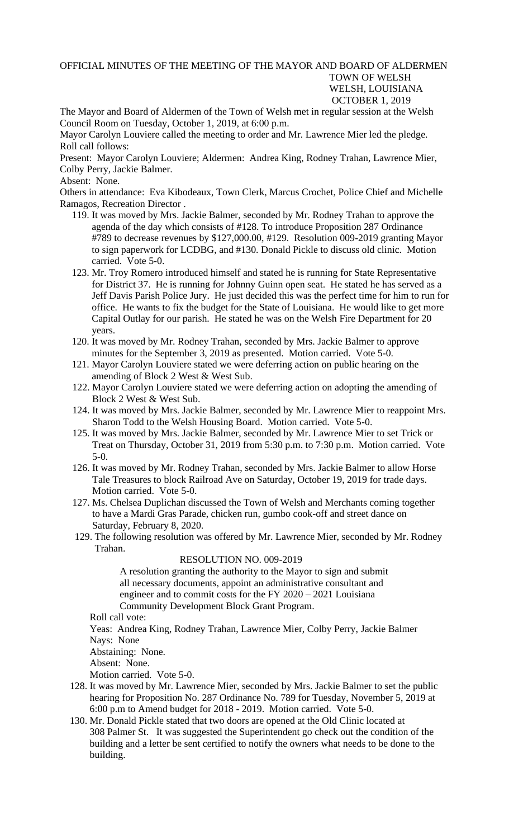OFFICIAL MINUTES OF THE MEETING OF THE MAYOR AND BOARD OF ALDERMEN TOWN OF WELSH WELSH, LOUISIANA OCTOBER 1, 2019

The Mayor and Board of Aldermen of the Town of Welsh met in regular session at the Welsh Council Room on Tuesday, October 1, 2019, at 6:00 p.m.

Mayor Carolyn Louviere called the meeting to order and Mr. Lawrence Mier led the pledge. Roll call follows:

Present: Mayor Carolyn Louviere; Aldermen: Andrea King, Rodney Trahan, Lawrence Mier, Colby Perry, Jackie Balmer.

## Absent: None.

Others in attendance: Eva Kibodeaux, Town Clerk, Marcus Crochet, Police Chief and Michelle Ramagos, Recreation Director .

- 119. It was moved by Mrs. Jackie Balmer, seconded by Mr. Rodney Trahan to approve the agenda of the day which consists of #128. To introduce Proposition 287 Ordinance #789 to decrease revenues by \$127,000.00, #129. Resolution 009-2019 granting Mayor to sign paperwork for LCDBG, and #130. Donald Pickle to discuss old clinic. Motion carried. Vote 5-0.
- 123. Mr. Troy Romero introduced himself and stated he is running for State Representative for District 37. He is running for Johnny Guinn open seat. He stated he has served as a Jeff Davis Parish Police Jury. He just decided this was the perfect time for him to run for office. He wants to fix the budget for the State of Louisiana. He would like to get more Capital Outlay for our parish. He stated he was on the Welsh Fire Department for 20 years.
- 120. It was moved by Mr. Rodney Trahan, seconded by Mrs. Jackie Balmer to approve minutes for the September 3, 2019 as presented. Motion carried. Vote 5-0.
- 121. Mayor Carolyn Louviere stated we were deferring action on public hearing on the amending of Block 2 West & West Sub.
- 122. Mayor Carolyn Louviere stated we were deferring action on adopting the amending of Block 2 West & West Sub.
- 124. It was moved by Mrs. Jackie Balmer, seconded by Mr. Lawrence Mier to reappoint Mrs. Sharon Todd to the Welsh Housing Board. Motion carried. Vote 5-0.
- 125. It was moved by Mrs. Jackie Balmer, seconded by Mr. Lawrence Mier to set Trick or Treat on Thursday, October 31, 2019 from 5:30 p.m. to 7:30 p.m. Motion carried. Vote 5-0.
- 126. It was moved by Mr. Rodney Trahan, seconded by Mrs. Jackie Balmer to allow Horse Tale Treasures to block Railroad Ave on Saturday, October 19, 2019 for trade days. Motion carried. Vote 5-0.
- 127. Ms. Chelsea Duplichan discussed the Town of Welsh and Merchants coming together to have a Mardi Gras Parade, chicken run, gumbo cook-off and street dance on Saturday, February 8, 2020.
- 129. The following resolution was offered by Mr. Lawrence Mier, seconded by Mr. Rodney Trahan.

## RESOLUTION NO. 009-2019

A resolution granting the authority to the Mayor to sign and submit all necessary documents, appoint an administrative consultant and engineer and to commit costs for the FY 2020 – 2021 Louisiana Community Development Block Grant Program.

Roll call vote:

 Yeas: Andrea King, Rodney Trahan, Lawrence Mier, Colby Perry, Jackie Balmer Nays: None

Abstaining: None.

Absent: None.

Motion carried. Vote 5-0.

- 128. It was moved by Mr. Lawrence Mier, seconded by Mrs. Jackie Balmer to set the public hearing for Proposition No. 287 Ordinance No. 789 for Tuesday, November 5, 2019 at 6:00 p.m to Amend budget for 2018 - 2019. Motion carried. Vote 5-0.
- 130. Mr. Donald Pickle stated that two doors are opened at the Old Clinic located at 308 Palmer St. It was suggested the Superintendent go check out the condition of the building and a letter be sent certified to notify the owners what needs to be done to the building.